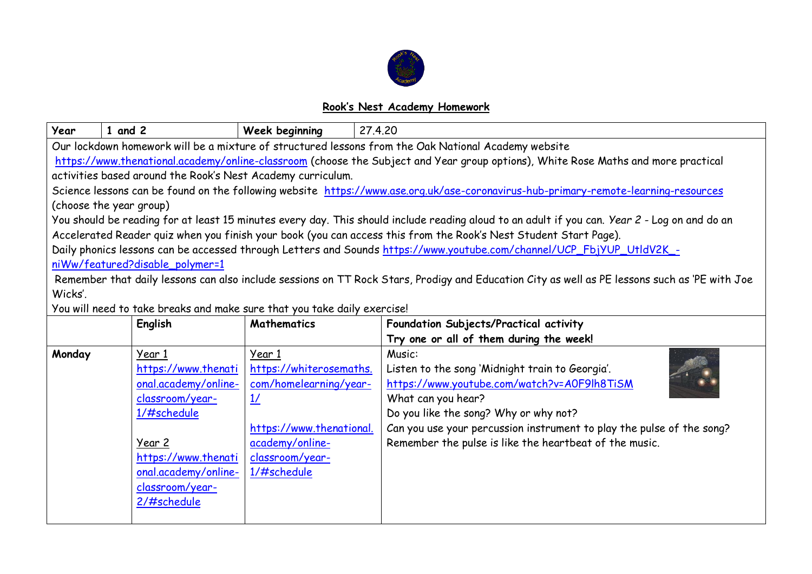

## **Rook's Nest Academy Homework**

| Year                                                                                                                                          | $1$ and $2$                                                 | Week beginning           | 27,4,20                                                                                                                                      |  |  |  |  |  |
|-----------------------------------------------------------------------------------------------------------------------------------------------|-------------------------------------------------------------|--------------------------|----------------------------------------------------------------------------------------------------------------------------------------------|--|--|--|--|--|
| Our lockdown homework will be a mixture of structured lessons from the Oak National Academy website                                           |                                                             |                          |                                                                                                                                              |  |  |  |  |  |
| https://www.thenational.academy/online-classroom (choose the Subject and Year group options), White Rose Maths and more practical             |                                                             |                          |                                                                                                                                              |  |  |  |  |  |
|                                                                                                                                               | activities based around the Rook's Nest Academy curriculum. |                          |                                                                                                                                              |  |  |  |  |  |
| Science lessons can be found on the following website https://www.ase.org.uk/ase-coronavirus-hub-primary-remote-learning-resources            |                                                             |                          |                                                                                                                                              |  |  |  |  |  |
|                                                                                                                                               | (choose the year group)                                     |                          |                                                                                                                                              |  |  |  |  |  |
|                                                                                                                                               |                                                             |                          | You should be reading for at least 15 minutes every day. This should include reading aloud to an adult if you can. Year 2 - Log on and do an |  |  |  |  |  |
|                                                                                                                                               |                                                             |                          | Accelerated Reader quiz when you finish your book (you can access this from the Rook's Nest Student Start Page).                             |  |  |  |  |  |
|                                                                                                                                               |                                                             |                          | Daily phonics lessons can be accessed through Letters and Sounds https://www.youtube.com/channel/UCP_FbjYUP_UtldV2K_-                        |  |  |  |  |  |
|                                                                                                                                               | niWw/featured?disable_polymer=1                             |                          |                                                                                                                                              |  |  |  |  |  |
| Remember that daily lessons can also include sessions on TT Rock Stars, Prodigy and Education City as well as PE lessons such as 'PE with Joe |                                                             |                          |                                                                                                                                              |  |  |  |  |  |
| Wicks'.                                                                                                                                       |                                                             |                          |                                                                                                                                              |  |  |  |  |  |
| You will need to take breaks and make sure that you take daily exercise!                                                                      |                                                             |                          |                                                                                                                                              |  |  |  |  |  |
|                                                                                                                                               | English                                                     | <b>Mathematics</b>       | Foundation Subjects/Practical activity                                                                                                       |  |  |  |  |  |
|                                                                                                                                               |                                                             |                          | Try one or all of them during the week!                                                                                                      |  |  |  |  |  |
| Monday                                                                                                                                        | Year 1                                                      | Year 1                   | Music:                                                                                                                                       |  |  |  |  |  |
|                                                                                                                                               | https://www.thenati                                         | https://whiterosemaths.  | Listen to the song 'Midnight train to Georgia'.                                                                                              |  |  |  |  |  |
|                                                                                                                                               | onal.academy/online-                                        | com/homelearning/year-   | https://www.youtube.com/watch?v=A0F9lh8TiSM                                                                                                  |  |  |  |  |  |
|                                                                                                                                               | classroom/year-                                             | $\frac{1}{2}$            | What can you hear?                                                                                                                           |  |  |  |  |  |
|                                                                                                                                               | 1/#schedule                                                 |                          | Do you like the song? Why or why not?                                                                                                        |  |  |  |  |  |
|                                                                                                                                               |                                                             | https://www.thenational. | Can you use your percussion instrument to play the pulse of the song?                                                                        |  |  |  |  |  |
|                                                                                                                                               | Year 2                                                      | academy/online-          | Remember the pulse is like the heartbeat of the music.                                                                                       |  |  |  |  |  |
|                                                                                                                                               | https://www.thenati                                         | classroom/year-          |                                                                                                                                              |  |  |  |  |  |
|                                                                                                                                               | onal.academy/online-                                        | 1/#schedule              |                                                                                                                                              |  |  |  |  |  |
|                                                                                                                                               | classroom/year-                                             |                          |                                                                                                                                              |  |  |  |  |  |
|                                                                                                                                               | 2/#schedule                                                 |                          |                                                                                                                                              |  |  |  |  |  |
|                                                                                                                                               |                                                             |                          |                                                                                                                                              |  |  |  |  |  |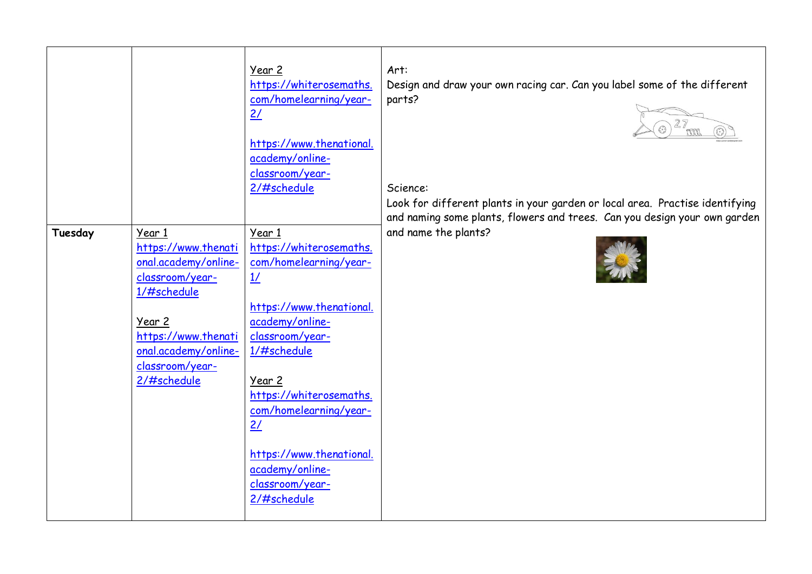|         |                                                                                                                                                                                    | Year 2<br>https://whiterosemaths.<br>com/homelearning/year-<br>2/<br>https://www.thenational.<br>academy/online-<br>classroom/year-                                     | Art:<br>Design and draw your own racing car. Can you label some of the different<br>parts?<br>27 |
|---------|------------------------------------------------------------------------------------------------------------------------------------------------------------------------------------|-------------------------------------------------------------------------------------------------------------------------------------------------------------------------|--------------------------------------------------------------------------------------------------|
|         |                                                                                                                                                                                    | 2/#schedule                                                                                                                                                             | Science:<br>Look for different plants in your garden or local area. Practise identifying         |
|         |                                                                                                                                                                                    |                                                                                                                                                                         | and naming some plants, flowers and trees. Can you design your own garden                        |
| Tuesday | Year 1<br>https://www.thenati<br>onal.academy/online-<br>classroom/year-<br>1/#schedule<br>Year 2<br>https://www.thenati<br>onal.academy/online-<br>classroom/year-<br>2/#schedule | Year 1<br>https://whiterosemaths.<br>com/homelearning/year-<br>$\frac{1}{2}$<br>https://www.thenational.<br>academy/online-<br>classroom/year-<br>1/#schedule<br>Year 2 | and name the plants?                                                                             |
|         |                                                                                                                                                                                    | https://whiterosemaths.<br>com/homelearning/year-<br>2/<br>https://www.thenational.<br>academy/online-<br>classroom/year-<br>2/#schedule                                |                                                                                                  |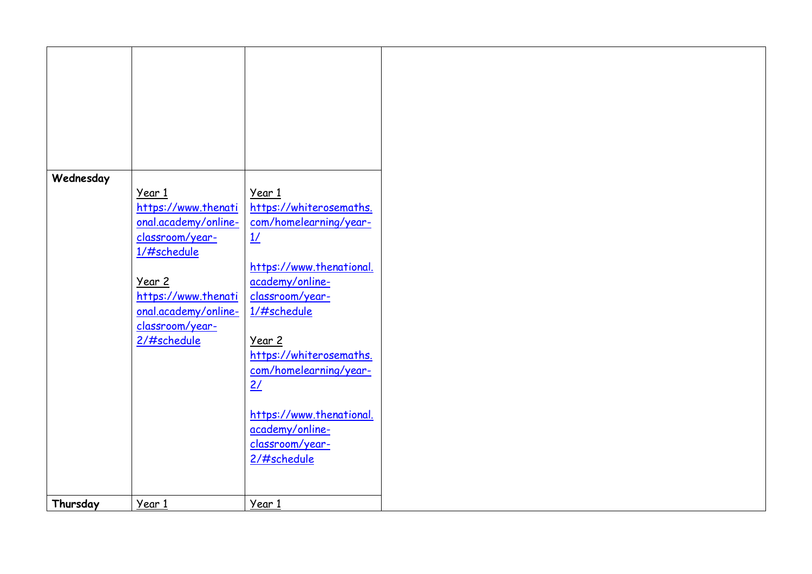| Wednesday |                      |                          |
|-----------|----------------------|--------------------------|
|           |                      |                          |
|           | Year 1               | Year 1                   |
|           | https://www.thenati  |                          |
|           |                      | https://whiterosemaths.  |
|           | onal.academy/online- | com/homelearning/year-   |
|           |                      |                          |
|           | classroom/year-      | 1/                       |
|           | 1/#schedule          |                          |
|           |                      |                          |
|           |                      | https://www.thenational. |
|           |                      |                          |
|           | Year 2               | academy/online-          |
|           | https://www.thenati  | classroom/year-          |
|           |                      |                          |
|           | onal.academy/online- | 1/#schedule              |
|           |                      |                          |
|           | classroom/year-      |                          |
|           | $2/$ #schedule       |                          |
|           |                      | Year 2                   |
|           |                      | https://whiterosemaths.  |
|           |                      |                          |
|           |                      | com/homelearning/year-   |
|           |                      | 2/                       |
|           |                      |                          |
|           |                      |                          |
|           |                      |                          |
|           |                      | https://www.thenational. |
|           |                      | academy/online-          |
|           |                      |                          |
|           |                      | classroom/year-          |
|           |                      |                          |
|           |                      | 2/#schedule              |
|           |                      |                          |
|           |                      |                          |
|           |                      |                          |
|           |                      |                          |
| Thursday  | Year 1               | Year 1                   |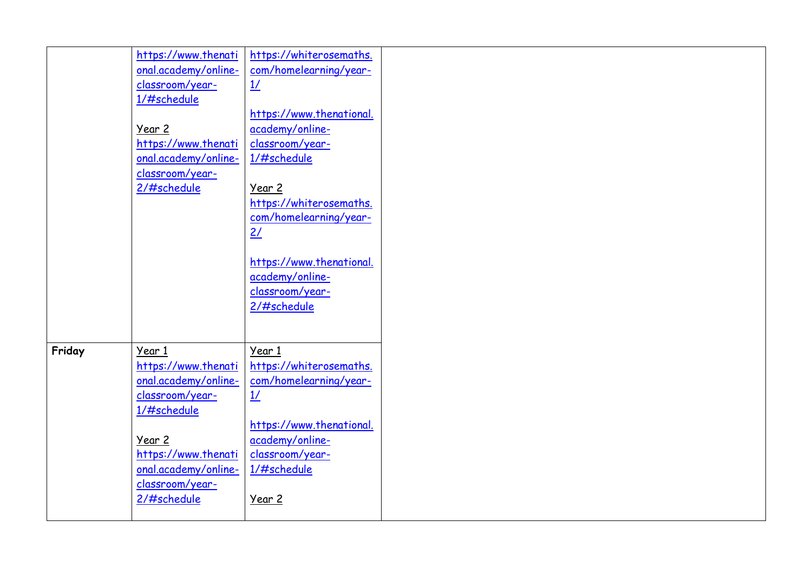| classroom/year-<br>2/#schedule<br>Friday<br>Year 1<br>Year 1<br>https://www.thenati<br>https://whiterosemaths.<br>onal.academy/online-<br>com/homelearning/year- |
|------------------------------------------------------------------------------------------------------------------------------------------------------------------|
| classroom/year-<br>$\frac{1}{2}$<br>1/#schedule<br>https://www.thenational.<br>academy/online-<br>Year 2<br>classroom/year-<br>https://www.thenati               |